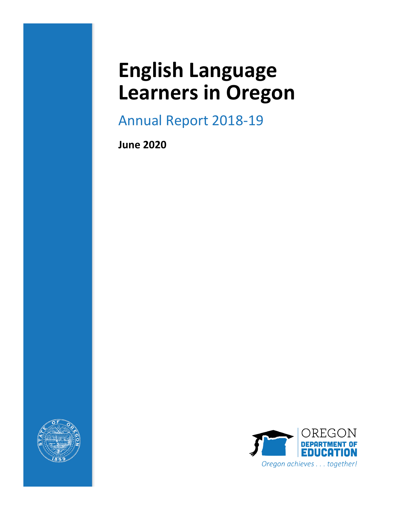# **English Language Learners in Oregon**

Annual Report 2018-19

**June 2020**



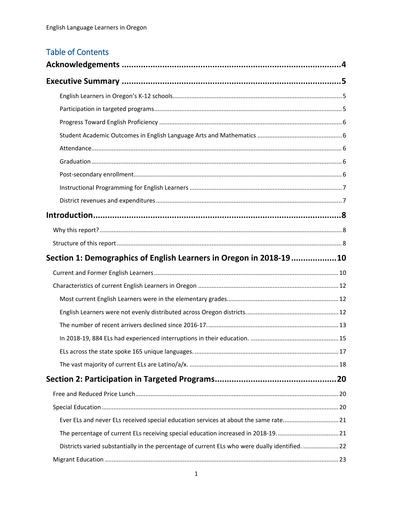# **Table of Contents**

| Section 1: Demographics of English Learners in Oregon in 2018-1910                             |  |
|------------------------------------------------------------------------------------------------|--|
|                                                                                                |  |
|                                                                                                |  |
|                                                                                                |  |
|                                                                                                |  |
|                                                                                                |  |
|                                                                                                |  |
|                                                                                                |  |
|                                                                                                |  |
|                                                                                                |  |
|                                                                                                |  |
|                                                                                                |  |
|                                                                                                |  |
| Ever ELs and never ELs received special education services at about the same rate21            |  |
| The percentage of current ELs receiving special education increased in 2018-1921               |  |
| Districts varied substantially in the percentage of current ELs who were dually identified. 22 |  |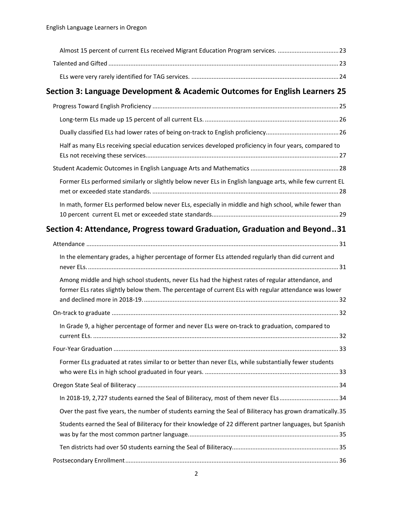| Almost 15 percent of current ELs received Migrant Education Program services. 23                                                                                                                           |  |
|------------------------------------------------------------------------------------------------------------------------------------------------------------------------------------------------------------|--|
|                                                                                                                                                                                                            |  |
|                                                                                                                                                                                                            |  |
| Section 3: Language Development & Academic Outcomes for English Learners 25                                                                                                                                |  |
|                                                                                                                                                                                                            |  |
|                                                                                                                                                                                                            |  |
|                                                                                                                                                                                                            |  |
| Half as many ELs receiving special education services developed proficiency in four years, compared to                                                                                                     |  |
|                                                                                                                                                                                                            |  |
| Former ELs performed similarly or slightly below never ELs in English language arts, while few current EL                                                                                                  |  |
| In math, former ELs performed below never ELs, especially in middle and high school, while fewer than                                                                                                      |  |
| Section 4: Attendance, Progress toward Graduation, Graduation and Beyond31                                                                                                                                 |  |
|                                                                                                                                                                                                            |  |
| In the elementary grades, a higher percentage of former ELs attended regularly than did current and                                                                                                        |  |
| Among middle and high school students, never ELs had the highest rates of regular attendance, and<br>former ELs rates slightly below them. The percentage of current ELs with regular attendance was lower |  |
|                                                                                                                                                                                                            |  |
| In Grade 9, a higher percentage of former and never ELs were on-track to graduation, compared to                                                                                                           |  |
|                                                                                                                                                                                                            |  |
| Former ELs graduated at rates similar to or better than never ELs, while substantially fewer students                                                                                                      |  |
|                                                                                                                                                                                                            |  |
| In 2018-19, 2,727 students earned the Seal of Biliteracy, most of them never ELs34                                                                                                                         |  |
| Over the past five years, the number of students earning the Seal of Biliteracy has grown dramatically.35                                                                                                  |  |
| Students earned the Seal of Biliteracy for their knowledge of 22 different partner languages, but Spanish                                                                                                  |  |
|                                                                                                                                                                                                            |  |
|                                                                                                                                                                                                            |  |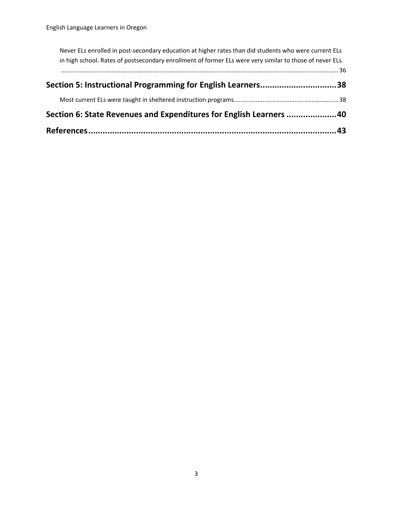| Section 6: State Revenues and Expenditures for English Learners 40                                                                                                                                                |  |
|-------------------------------------------------------------------------------------------------------------------------------------------------------------------------------------------------------------------|--|
|                                                                                                                                                                                                                   |  |
| Section 5: Instructional Programming for English Learners38                                                                                                                                                       |  |
|                                                                                                                                                                                                                   |  |
| Never ELs enrolled in post-secondary education at higher rates than did students who were current ELs<br>in high school. Rates of postsecondary enrollment of former ELs were very similar to those of never ELs. |  |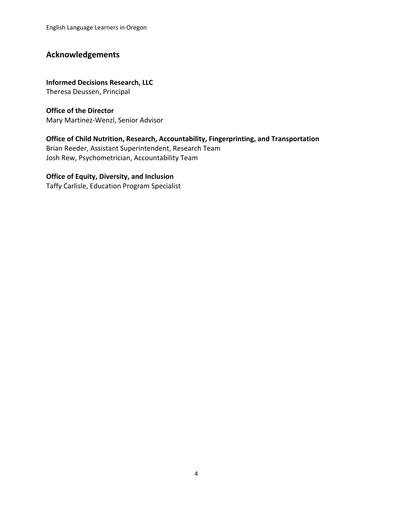### <span id="page-4-0"></span>**Acknowledgements**

**Informed Decisions Research, LLC** Theresa Deussen, Principal

**Office of the Director**  Mary Martinez-Wenzl, Senior Advisor

**Office of Child Nutrition, Research, Accountability, Fingerprinting, and Transportation** Brian Reeder, Assistant Superintendent, Research Team

Josh Rew, Psychometrician, Accountability Team

#### **Office of Equity, Diversity, and Inclusion**

Taffy Carlisle, Education Program Specialist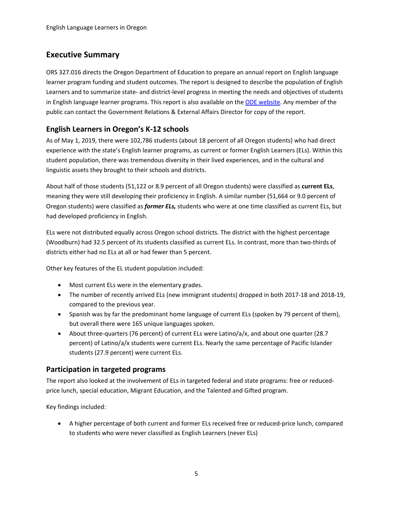### <span id="page-5-0"></span>**Executive Summary**

ORS 327.016 directs the Oregon Department of Education to prepare an annual report on English language learner program funding and student outcomes. The report is designed to describe the population of English Learners and to summarize state- and district-level progress in meeting the needs and objectives of students in English language learner programs. This report is also available on the [ODE website.](https://www.oregon.gov/ode/reports-and-data/LegReports/Pages/default.aspx) Any member of the public can contact the Government Relations & External Affairs Director for copy of the report.

### <span id="page-5-1"></span>**English Learners in Oregon's K-12 schools**

As of May 1, 2019, there were 102,786 students (about 18 percent of all Oregon students) who had direct experience with the state's English learner programs, as current or former English Learners (ELs). Within this student population, there was tremendous diversity in their lived experiences, and in the cultural and linguistic assets they brought to their schools and districts.

About half of those students (51,122 or 8.9 percent of all Oregon students) were classified as **current ELs**, meaning they were still developing their proficiency in English. A similar number (51,664 or 9.0 percent of Oregon students) were classified as *former ELs,* students who were at one time classified as current ELs, but had developed proficiency in English.

ELs were not distributed equally across Oregon school districts. The district with the highest percentage (Woodburn) had 32.5 percent of its students classified as current ELs. In contrast, more than two-thirds of districts either had no ELs at all or had fewer than 5 percent.

Other key features of the EL student population included:

- Most current ELs were in the elementary grades.
- The number of recently arrived ELs (new immigrant students) dropped in both 2017-18 and 2018-19, compared to the previous year.
- Spanish was by far the predominant home language of current ELs (spoken by 79 percent of them), but overall there were 165 unique languages spoken.
- About three-quarters (76 percent) of current ELs were Latino/a/x, and about one quarter (28.7 percent) of Latino/a/x students were current ELs. Nearly the same percentage of Pacific Islander students (27.9 percent) were current ELs.

### <span id="page-5-2"></span>**Participation in targeted programs**

The report also looked at the involvement of ELs in targeted federal and state programs: free or reducedprice lunch, special education, Migrant Education, and the Talented and Gifted program.

Key findings included:

• A higher percentage of both current and former ELs received free or reduced-price lunch, compared to students who were never classified as English Learners (never ELs)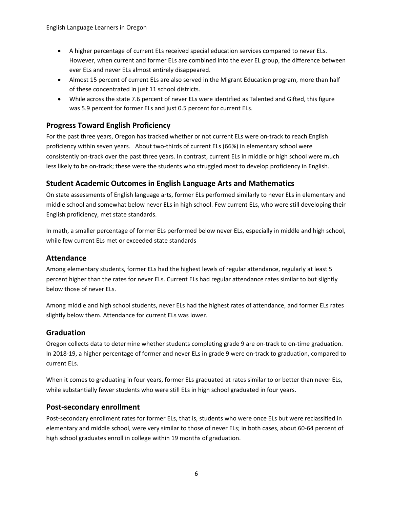- A higher percentage of current ELs received special education services compared to never ELs. However, when current and former ELs are combined into the ever EL group, the difference between ever ELs and never ELs almost entirely disappeared.
- Almost 15 percent of current ELs are also served in the Migrant Education program, more than half of these concentrated in just 11 school districts.
- While across the state 7.6 percent of never ELs were identified as Talented and Gifted, this figure was 5.9 percent for former ELs and just 0.5 percent for current ELs.

#### <span id="page-6-0"></span>**Progress Toward English Proficiency**

For the past three years, Oregon has tracked whether or not current ELs were on-track to reach English proficiency within seven years. About two-thirds of current ELs (66%) in elementary school were consistently on-track over the past three years. In contrast, current ELs in middle or high school were much less likely to be on-track; these were the students who struggled most to develop proficiency in English.

### <span id="page-6-1"></span>**Student Academic Outcomes in English Language Arts and Mathematics**

On state assessments of English language arts, former ELs performed similarly to never ELs in elementary and middle school and somewhat below never ELs in high school. Few current ELs, who were still developing their English proficiency, met state standards.

In math, a smaller percentage of former ELs performed below never ELs, especially in middle and high school, while few current ELs met or exceeded state standards

### <span id="page-6-2"></span>**Attendance**

Among elementary students, former ELs had the highest levels of regular attendance, regularly at least 5 percent higher than the rates for never ELs. Current ELs had regular attendance rates similar to but slightly below those of never ELs.

Among middle and high school students, never ELs had the highest rates of attendance, and former ELs rates slightly below them. Attendance for current ELs was lower.

#### <span id="page-6-3"></span>**Graduation**

Oregon collects data to determine whether students completing grade 9 are on-track to on-time graduation. In 2018-19, a higher percentage of former and never ELs in grade 9 were on-track to graduation, compared to current ELs.

When it comes to graduating in four years, former ELs graduated at rates similar to or better than never ELs, while substantially fewer students who were still ELs in high school graduated in four years.

#### <span id="page-6-4"></span>**Post-secondary enrollment**

Post-secondary enrollment rates for former ELs, that is, students who were once ELs but were reclassified in elementary and middle school, were very similar to those of never ELs; in both cases, about 60-64 percent of high school graduates enroll in college within 19 months of graduation.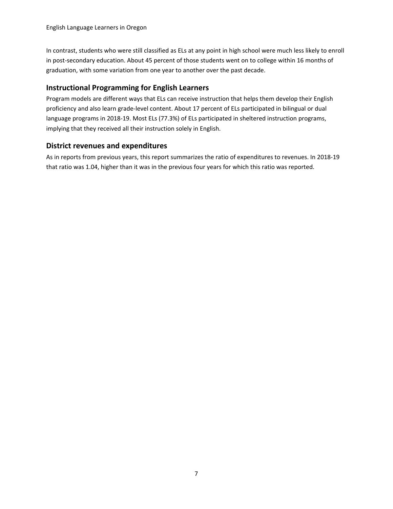In contrast, students who were still classified as ELs at any point in high school were much less likely to enroll in post-secondary education. About 45 percent of those students went on to college within 16 months of graduation, with some variation from one year to another over the past decade.

### <span id="page-7-0"></span>**Instructional Programming for English Learners**

Program models are different ways that ELs can receive instruction that helps them develop their English proficiency and also learn grade-level content. About 17 percent of ELs participated in bilingual or dual language programs in 2018-19. Most ELs (77.3%) of ELs participated in sheltered instruction programs, implying that they received all their instruction solely in English.

#### <span id="page-7-1"></span>**District revenues and expenditures**

As in reports from previous years, this report summarizes the ratio of expenditures to revenues. In 2018-19 that ratio was 1.04, higher than it was in the previous four years for which this ratio was reported.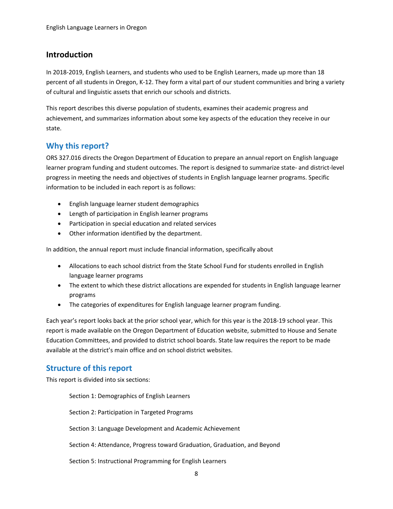### <span id="page-8-0"></span>**Introduction**

In 2018-2019, English Learners, and students who used to be English Learners, made up more than 18 percent of all students in Oregon, K-12. They form a vital part of our student communities and bring a variety of cultural and linguistic assets that enrich our schools and districts.

This report describes this diverse population of students, examines their academic progress and achievement, and summarizes information about some key aspects of the education they receive in our state.

### <span id="page-8-1"></span>**Why this report?**

ORS 327.016 directs the Oregon Department of Education to prepare an annual report on English language learner program funding and student outcomes. The report is designed to summarize state- and district-level progress in meeting the needs and objectives of students in English language learner programs. Specific information to be included in each report is as follows:

- English language learner student demographics
- Length of participation in English learner programs
- Participation in special education and related services
- Other information identified by the department.

In addition, the annual report must include financial information, specifically about

- Allocations to each school district from the State School Fund for students enrolled in English language learner programs
- The extent to which these district allocations are expended for students in English language learner programs
- The categories of expenditures for English language learner program funding.

Each year's report looks back at the prior school year, which for this year is the 2018-19 school year. This report is made available on the Oregon Department of Education website, submitted to House and Senate Education Committees, and provided to district school boards. State law requires the report to be made available at the district's main office and on school district websites.

### <span id="page-8-2"></span>**Structure of this report**

This report is divided into six sections:

Section 1: Demographics of English Learners Section 2: Participation in Targeted Programs Section 3: Language Development and Academic Achievement Section 4: Attendance, Progress toward Graduation, Graduation, and Beyond Section 5: Instructional Programming for English Learners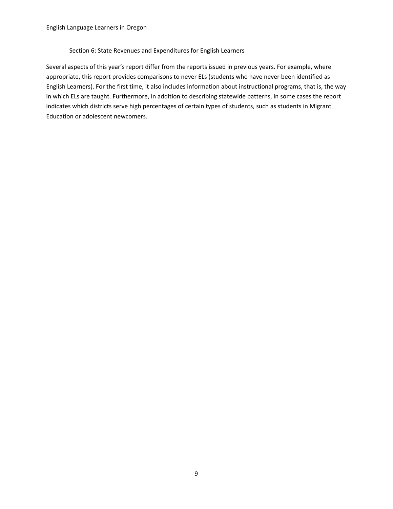#### Section 6: State Revenues and Expenditures for English Learners

Several aspects of this year's report differ from the reports issued in previous years. For example, where appropriate, this report provides comparisons to never ELs (students who have never been identified as English Learners). For the first time, it also includes information about instructional programs, that is, the way in which ELs are taught. Furthermore, in addition to describing statewide patterns, in some cases the report indicates which districts serve high percentages of certain types of students, such as students in Migrant Education or adolescent newcomers.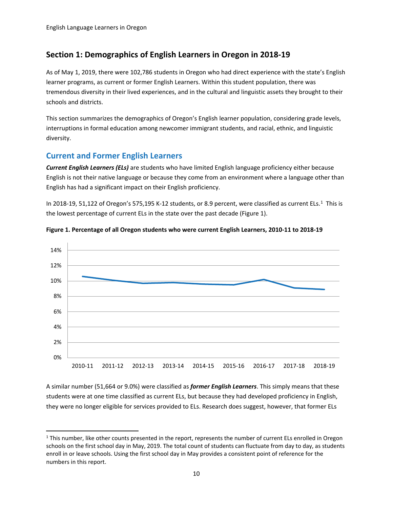### <span id="page-10-0"></span>**Section 1: Demographics of English Learners in Oregon in 2018-19**

As of May 1, 2019, there were 102,786 students in Oregon who had direct experience with the state's English learner programs, as current or former English Learners. Within this student population, there was tremendous diversity in their lived experiences, and in the cultural and linguistic assets they brought to their schools and districts.

This section summarizes the demographics of Oregon's English learner population, considering grade levels, interruptions in formal education among newcomer immigrant students, and racial, ethnic, and linguistic diversity.

### <span id="page-10-1"></span>**Current and Former English Learners**

 $\overline{a}$ 

*Current English Learners (ELs)* are students who have limited English language proficiency either because English is not their native language or because they come from an environment where a language other than English has had a significant impact on their English proficiency.

In 20[1](#page-10-2)8-19, 51,122 of Oregon's 575,195 K-12 students, or 8.9 percent, were classified as current ELs.<sup>1</sup> This is the lowest percentage of current ELs in the state over the past decade (Figure 1).





A similar number (51,664 or 9.0%) were classified as *former English Learners*. This simply means that these students were at one time classified as current ELs, but because they had developed proficiency in English, they were no longer eligible for services provided to ELs. Research does suggest, however, that former ELs

<span id="page-10-2"></span><sup>&</sup>lt;sup>1</sup> This number, like other counts presented in the report, represents the number of current ELs enrolled in Oregon schools on the first school day in May, 2019. The total count of students can fluctuate from day to day, as students enroll in or leave schools. Using the first school day in May provides a consistent point of reference for the numbers in this report.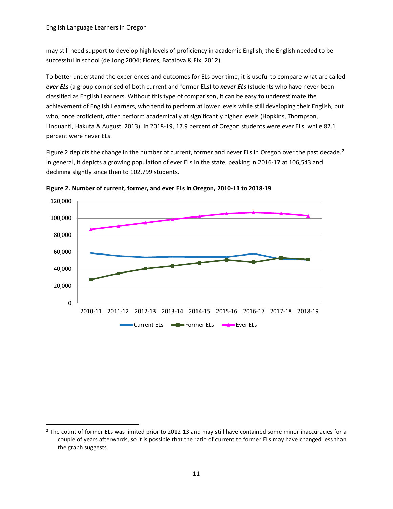may still need support to develop high levels of proficiency in academic English, the English needed to be successful in school (de Jong 2004; Flores, Batalova & Fix, 2012).

To better understand the experiences and outcomes for ELs over time, it is useful to compare what are called *ever ELs* (a group comprised of both current and former ELs) to *never ELs* (students who have never been classified as English Learners. Without this type of comparison, it can be easy to underestimate the achievement of English Learners, who tend to perform at lower levels while still developing their English, but who, once proficient, often perform academically at significantly higher levels (Hopkins, Thompson, Linquanti, Hakuta & August, 2013). In 2018-19, 17.9 percent of Oregon students were ever ELs, while 82.1 percent were never ELs.

Figure [2](#page-11-0) depicts the change in the number of current, former and never ELs in Oregon over the past decade.<sup>2</sup> In general, it depicts a growing population of ever ELs in the state, peaking in 2016-17 at 106,543 and declining slightly since then to 102,799 students.



**Figure 2. Number of current, former, and ever ELs in Oregon, 2010-11 to 2018-19**

<span id="page-11-0"></span><sup>&</sup>lt;sup>2</sup> The count of former ELs was limited prior to 2012-13 and may still have contained some minor inaccuracies for a couple of years afterwards, so it is possible that the ratio of current to former ELs may have changed less than the graph suggests.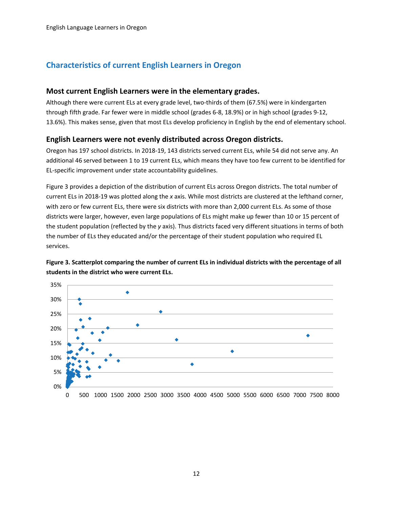### <span id="page-12-0"></span>**Characteristics of current English Learners in Oregon**

#### <span id="page-12-1"></span>**Most current English Learners were in the elementary grades.**

Although there were current ELs at every grade level, two-thirds of them (67.5%) were in kindergarten through fifth grade. Far fewer were in middle school (grades 6-8, 18.9%) or in high school (grades 9-12, 13.6%). This makes sense, given that most ELs develop proficiency in English by the end of elementary school.

#### <span id="page-12-2"></span>**English Learners were not evenly distributed across Oregon districts.**

Oregon has 197 school districts. In 2018-19, 143 districts served current ELs, while 54 did not serve any. An additional 46 served between 1 to 19 current ELs, which means they have too few current to be identified for EL-specific improvement under state accountability guidelines.

Figure 3 provides a depiction of the distribution of current ELs across Oregon districts. The total number of current ELs in 2018-19 was plotted along the *x* axis. While most districts are clustered at the lefthand corner, with zero or few current ELs, there were six districts with more than 2,000 current ELs. As some of those districts were larger, however, even large populations of ELs might make up fewer than 10 or 15 percent of the student population (reflected by the *y* axis). Thus districts faced very different situations in terms of both the number of ELs they educated and/or the percentage of their student population who required EL services.



**Figure 3. Scatterplot comparing the number of current ELs in individual districts with the percentage of all students in the district who were current ELs.**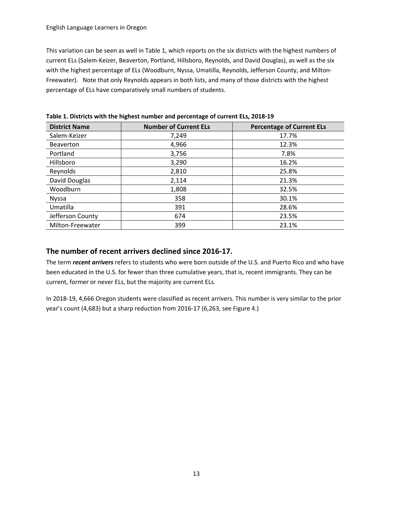This variation can be seen as well in Table 1, which reports on the six districts with the highest numbers of current ELs (Salem-Keizer, Beaverton, Portland, Hillsboro, Reynolds, and David Douglas), as well as the six with the highest percentage of ELs (Woodburn, Nyssa, Umatilla, Reynolds, Jefferson County, and Milton-Freewater). Note that only Reynolds appears in both lists, and many of those districts with the highest percentage of ELs have comparatively small numbers of students.

| <b>District Name</b> | <b>Number of Current ELs</b> | <b>Percentage of Current ELs</b> |
|----------------------|------------------------------|----------------------------------|
| Salem-Keizer         | 7,249                        | 17.7%                            |
| <b>Beaverton</b>     | 4,966                        | 12.3%                            |
| Portland             | 3,756                        | 7.8%                             |
| Hillsboro            | 3,290                        | 16.2%                            |
| Reynolds             | 2,810                        | 25.8%                            |
| David Douglas        | 2,114                        | 21.3%                            |
| Woodburn             | 1,808                        | 32.5%                            |
| <b>Nyssa</b>         | 358                          | 30.1%                            |
| Umatilla             | 391                          | 28.6%                            |
| Jefferson County     | 674                          | 23.5%                            |
| Milton-Freewater     | 399                          | 23.1%                            |

**Table 1. Districts with the highest number and percentage of current ELs, 2018-19**

### <span id="page-13-0"></span>**The number of recent arrivers declined since 2016-17.**

The term *recent arrivers* refers to students who were born outside of the U.S. and Puerto Rico and who have been educated in the U.S. for fewer than three cumulative years, that is, recent immigrants. They can be current, former or never ELs, but the majority are current ELs.

In 2018-19, 4,666 Oregon students were classified as recent arrivers. This number is very similar to the prior year's count (4,683) but a sharp reduction from 2016-17 (6,263, see Figure 4.)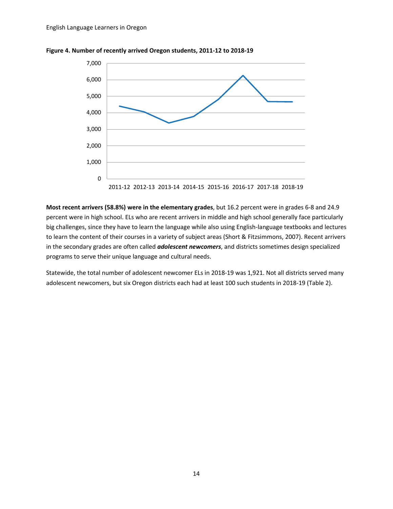

**Figure 4. Number of recently arrived Oregon students, 2011-12 to 2018-19**

**Most recent arrivers (58.8%) were in the elementary grades**, but 16.2 percent were in grades 6-8 and 24.9 percent were in high school. ELs who are recent arrivers in middle and high school generally face particularly big challenges, since they have to learn the language while also using English-language textbooks and lectures to learn the content of their courses in a variety of subject areas (Short & Fitzsimmons, 2007). Recent arrivers in the secondary grades are often called *adolescent newcomers*, and districts sometimes design specialized programs to serve their unique language and cultural needs.

Statewide, the total number of adolescent newcomer ELs in 2018-19 was 1,921. Not all districts served many adolescent newcomers, but six Oregon districts each had at least 100 such students in 2018-19 (Table 2).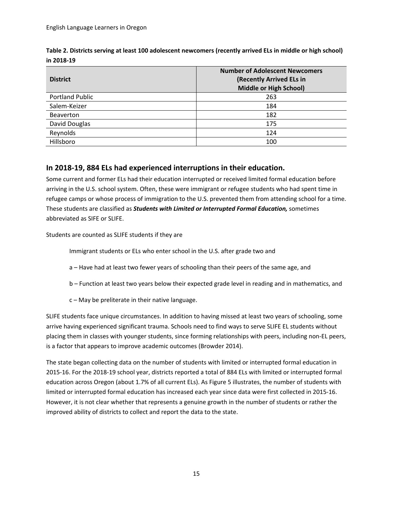| <b>District</b>        | <b>Number of Adolescent Newcomers</b><br>(Recently Arrived ELs in<br>Middle or High School) |
|------------------------|---------------------------------------------------------------------------------------------|
| <b>Portland Public</b> | 263                                                                                         |
| Salem-Keizer           | 184                                                                                         |
| <b>Beaverton</b>       | 182                                                                                         |
| David Douglas          | 175                                                                                         |
| Reynolds               | 124                                                                                         |
| Hillsboro              | 100                                                                                         |

**Table 2. Districts serving at least 100 adolescent newcomers (recently arrived ELs in middle or high school) in 2018-19**

### <span id="page-15-0"></span>**In 2018-19, 884 ELs had experienced interruptions in their education.**

Some current and former ELs had their education interrupted or received limited formal education before arriving in the U.S. school system. Often, these were immigrant or refugee students who had spent time in refugee camps or whose process of immigration to the U.S. prevented them from attending school for a time. These students are classified as *Students with Limited or Interrupted Formal Education,* sometimes abbreviated as SIFE or SLIFE.

Students are counted as SLIFE students if they are

Immigrant students or ELs who enter school in the U.S. after grade two and

- a Have had at least two fewer years of schooling than their peers of the same age, and
- b Function at least two years below their expected grade level in reading and in mathematics, and
- c May be preliterate in their native language.

SLIFE students face unique circumstances. In addition to having missed at least two years of schooling, some arrive having experienced significant trauma. Schools need to find ways to serve SLIFE EL students without placing them in classes with younger students, since forming relationships with peers, including non-EL peers, is a factor that appears to improve academic outcomes (Browder 2014).

The state began collecting data on the number of students with limited or interrupted formal education in 2015-16. For the 2018-19 school year, districts reported a total of 884 ELs with limited or interrupted formal education across Oregon (about 1.7% of all current ELs). As Figure 5 illustrates, the number of students with limited or interrupted formal education has increased each year since data were first collected in 2015-16. However, it is not clear whether that represents a genuine growth in the number of students or rather the improved ability of districts to collect and report the data to the state.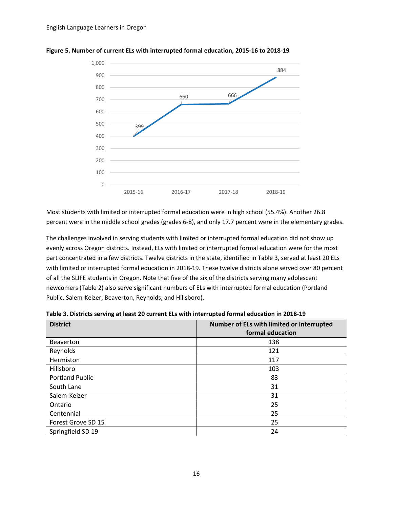

**Figure 5. Number of current ELs with interrupted formal education, 2015-16 to 2018-19**

Most students with limited or interrupted formal education were in high school (55.4%). Another 26.8 percent were in the middle school grades (grades 6-8), and only 17.7 percent were in the elementary grades.

The challenges involved in serving students with limited or interrupted formal education did not show up evenly across Oregon districts. Instead, ELs with limited or interrupted formal education were for the most part concentrated in a few districts. Twelve districts in the state, identified in Table 3, served at least 20 ELs with limited or interrupted formal education in 2018-19. These twelve districts alone served over 80 percent of all the SLIFE students in Oregon. Note that five of the six of the districts serving many adolescent newcomers (Table 2) also serve significant numbers of ELs with interrupted formal education (Portland Public, Salem-Keizer, Beaverton, Reynolds, and Hillsboro).

| <b>District</b>        | Number of ELs with limited or interrupted |  |
|------------------------|-------------------------------------------|--|
|                        | formal education                          |  |
| <b>Beaverton</b>       | 138                                       |  |
| Reynolds               | 121                                       |  |
| Hermiston              | 117                                       |  |
| Hillsboro              | 103                                       |  |
| <b>Portland Public</b> | 83                                        |  |
| South Lane             | 31                                        |  |
| Salem-Keizer           | 31                                        |  |
| Ontario                | 25                                        |  |
| Centennial             | 25                                        |  |
| Forest Grove SD 15     | 25                                        |  |
| Springfield SD 19      | 24                                        |  |

**Table 3. Districts serving at least 20 current ELs with interrupted formal education in 2018-19**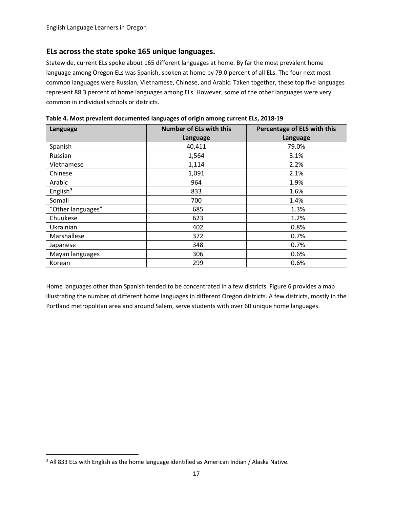#### <span id="page-17-0"></span>**ELs across the state spoke 165 unique languages.**

Statewide, current ELs spoke about 165 different languages at home. By far the most prevalent home language among Oregon ELs was Spanish, spoken at home by 79.0 percent of all ELs. The four next most common languages were Russian, Vietnamese, Chinese, and Arabic. Taken together, these top five languages represent 88.3 percent of home languages among ELs. However, some of the other languages were very common in individual schools or districts.

| Language          | <b>Number of ELs with this</b> |          |
|-------------------|--------------------------------|----------|
|                   | Language                       | Language |
| Spanish           | 40,411                         | 79.0%    |
| <b>Russian</b>    | 1,564                          | 3.1%     |
| Vietnamese        | 1,114                          | 2.2%     |
| Chinese           | 1,091                          | 2.1%     |
| Arabic            | 964                            | 1.9%     |
| English $3$       | 833                            | 1.6%     |
| Somali            | 700                            | 1.4%     |
| "Other languages" | 685                            | 1.3%     |
| Chuukese          | 623                            | 1.2%     |
| Ukrainian         | 402                            | 0.8%     |
| Marshallese       | 372                            | 0.7%     |
| Japanese          | 348                            | 0.7%     |
| Mayan languages   | 306                            | 0.6%     |
| Korean            | 299                            | 0.6%     |

**Table 4. Most prevalent documented languages of origin among current ELs, 2018-19**

Home languages other than Spanish tended to be concentrated in a few districts. Figure 6 provides a map illustrating the number of different home languages in different Oregon districts. A few districts, mostly in the Portland metropolitan area and around Salem, serve students with over 60 unique home languages.

<span id="page-17-1"></span><sup>&</sup>lt;sup>3</sup> All 833 ELs with English as the home language identified as American Indian / Alaska Native.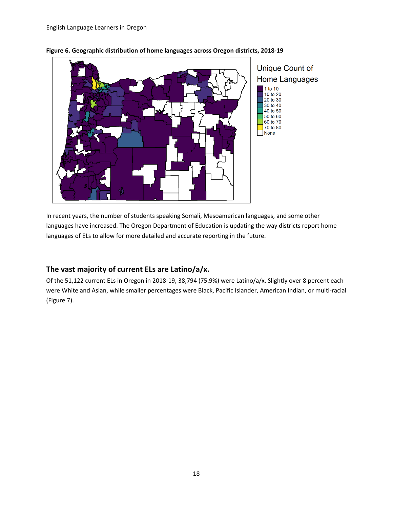

#### **Figure 6. Geographic distribution of home languages across Oregon districts, 2018-19**

In recent years, the number of students speaking Somali, Mesoamerican languages, and some other languages have increased. The Oregon Department of Education is updating the way districts report home languages of ELs to allow for more detailed and accurate reporting in the future.

### <span id="page-18-0"></span>**The vast majority of current ELs are Latino/a/x.**

Of the 51,122 current ELs in Oregon in 2018-19, 38,794 (75.9%) were Latino/a/x. Slightly over 8 percent each were White and Asian, while smaller percentages were Black, Pacific Islander, American Indian, or multi-racial (Figure 7).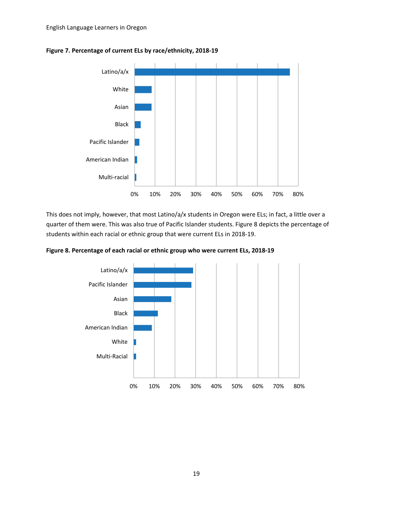

#### **Figure 7. Percentage of current ELs by race/ethnicity, 2018-19**

This does not imply, however, that most Latino/a/x students in Oregon were ELs; in fact, a little over a quarter of them were. This was also true of Pacific Islander students. Figure 8 depicts the percentage of students within each racial or ethnic group that were current ELs in 2018-19.

**Figure 8. Percentage of each racial or ethnic group who were current ELs, 2018-19**

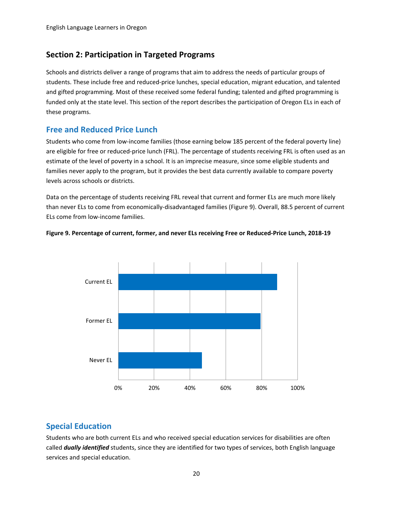### <span id="page-20-0"></span>**Section 2: Participation in Targeted Programs**

Schools and districts deliver a range of programs that aim to address the needs of particular groups of students. These include free and reduced-price lunches, special education, migrant education, and talented and gifted programming. Most of these received some federal funding; talented and gifted programming is funded only at the state level. This section of the report describes the participation of Oregon ELs in each of these programs.

### <span id="page-20-1"></span>**Free and Reduced Price Lunch**

Students who come from low-income families (those earning below 185 percent of the federal poverty line) are eligible for free or reduced-price lunch (FRL). The percentage of students receiving FRL is often used as an estimate of the level of poverty in a school. It is an imprecise measure, since some eligible students and families never apply to the program, but it provides the best data currently available to compare poverty levels across schools or districts.

Data on the percentage of students receiving FRL reveal that current and former ELs are much more likely than never ELs to come from economically-disadvantaged families (Figure 9). Overall, 88.5 percent of current ELs come from low-income families.





### <span id="page-20-2"></span>**Special Education**

Students who are both current ELs and who received special education services for disabilities are often called *dually identified* students, since they are identified for two types of services, both English language services and special education.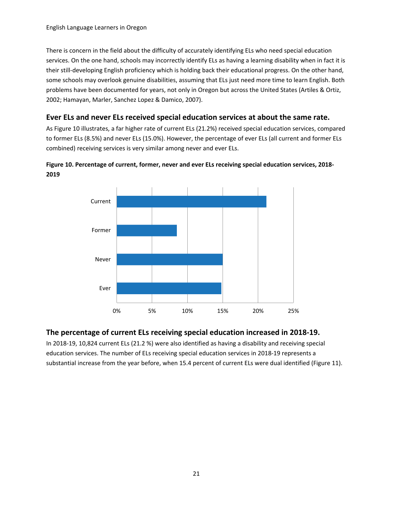There is concern in the field about the difficulty of accurately identifying ELs who need special education services. On the one hand, schools may incorrectly identify ELs as having a learning disability when in fact it is their still-developing English proficiency which is holding back their educational progress. On the other hand, some schools may overlook genuine disabilities, assuming that ELs just need more time to learn English. Both problems have been documented for years, not only in Oregon but across the United States (Artiles & Ortiz, 2002; Hamayan, Marler, Sanchez Lopez & Damico, 2007).

### <span id="page-21-0"></span>**Ever ELs and never ELs received special education services at about the same rate.**

As Figure 10 illustrates, a far higher rate of current ELs (21.2%) received special education services, compared to former ELs (8.5%) and never ELs (15.0%). However, the percentage of ever ELs (all current and former ELs combined) receiving services is very similar among never and ever ELs.





### <span id="page-21-1"></span>**The percentage of current ELs receiving special education increased in 2018-19.**

In 2018-19, 10,824 current ELs (21.2 %) were also identified as having a disability and receiving special education services. The number of ELs receiving special education services in 2018-19 represents a substantial increase from the year before, when 15.4 percent of current ELs were dual identified (Figure 11).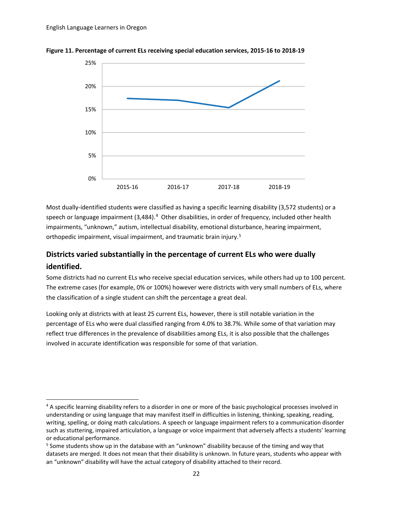

**Figure 11. Percentage of current ELs receiving special education services, 2015-16 to 2018-19**

Most dually-identified students were classified as having a specific learning disability (3,572 students) or a speech or language impairment (3,[4](#page-22-1)84).<sup>4</sup> Other disabilities, in order of frequency, included other health impairments, "unknown," autism, intellectual disability, emotional disturbance, hearing impairment, orthopedic impairment, visual impairment, and traumatic brain injury.[5](#page-22-2)

### <span id="page-22-0"></span>**Districts varied substantially in the percentage of current ELs who were dually identified.**

Some districts had no current ELs who receive special education services, while others had up to 100 percent. The extreme cases (for example, 0% or 100%) however were districts with very small numbers of ELs, where the classification of a single student can shift the percentage a great deal.

Looking only at districts with at least 25 current ELs, however, there is still notable variation in the percentage of ELs who were dual classified ranging from 4.0% to 38.7%. While some of that variation may reflect true differences in the prevalence of disabilities among ELs, it is also possible that the challenges involved in accurate identification was responsible for some of that variation.

<span id="page-22-1"></span><sup>&</sup>lt;sup>4</sup> A specific learning disability refers to a disorder in one or more of the basic psychological processes involved in understanding or using language that may manifest itself in difficulties in listening, thinking, speaking, reading, writing, spelling, or doing math calculations. A speech or language impairment refers to a communication disorder such as stuttering, impaired articulation, a language or voice impairment that adversely affects a students' learning or educational performance.

<span id="page-22-2"></span><sup>&</sup>lt;sup>5</sup> Some students show up in the database with an "unknown" disability because of the timing and way that datasets are merged. It does not mean that their disability is unknown. In future years, students who appear with an "unknown" disability will have the actual category of disability attached to their record.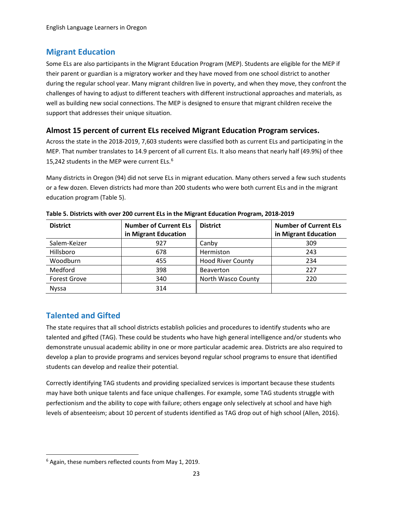### <span id="page-23-0"></span>**Migrant Education**

Some ELs are also participants in the Migrant Education Program (MEP). Students are eligible for the MEP if their parent or guardian is a migratory worker and they have moved from one school district to another during the regular school year. Many migrant children live in poverty, and when they move, they confront the challenges of having to adjust to different teachers with different instructional approaches and materials, as well as building new social connections. The MEP is designed to ensure that migrant children receive the support that addresses their unique situation.

### <span id="page-23-1"></span>**Almost 15 percent of current ELs received Migrant Education Program services.**

Across the state in the 2018-2019, 7,603 students were classified both as current ELs and participating in the MEP. That number translates to 14.9 percent of all current ELs. It also means that nearly half (49.9%) of thee 15,242 students in the MEP were current ELs.<sup>[6](#page-23-3)</sup>

Many districts in Oregon (94) did not serve ELs in migrant education. Many others served a few such students or a few dozen. Eleven districts had more than 200 students who were both current ELs and in the migrant education program (Table 5).

| <b>District</b>     | <b>Number of Current ELs</b><br>in Migrant Education | <b>District</b>          | <b>Number of Current ELs</b><br>in Migrant Education |
|---------------------|------------------------------------------------------|--------------------------|------------------------------------------------------|
| Salem-Keizer        | 927                                                  | Canby                    | 309                                                  |
| Hillsboro           | 678                                                  | Hermiston                | 243                                                  |
| Woodburn            | 455                                                  | <b>Hood River County</b> | 234                                                  |
| Medford             | 398                                                  | <b>Beaverton</b>         | 227                                                  |
| <b>Forest Grove</b> | 340                                                  | North Wasco County       | 220                                                  |
| <b>Nyssa</b>        | 314                                                  |                          |                                                      |

**Table 5. Districts with over 200 current ELs in the Migrant Education Program, 2018-2019**

### <span id="page-23-2"></span>**Talented and Gifted**

The state requires that all school districts establish policies and procedures to identify students who are talented and gifted (TAG). These could be students who have high general intelligence and/or students who demonstrate unusual academic ability in one or more particular academic area. Districts are also required to develop a plan to provide programs and services beyond regular school programs to ensure that identified students can develop and realize their potential.

Correctly identifying TAG students and providing specialized services is important because these students may have both unique talents and face unique challenges. For example, some TAG students struggle with perfectionism and the ability to cope with failure; others engage only selectively at school and have high levels of absenteeism; about 10 percent of students identified as TAG drop out of high school (Allen, 2016).

<span id="page-23-3"></span> $6$  Again, these numbers reflected counts from May 1, 2019.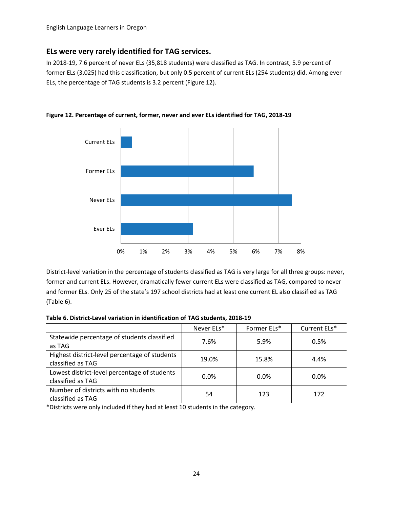#### <span id="page-24-0"></span>**ELs were very rarely identified for TAG services.**

In 2018-19, 7.6 percent of never ELs (35,818 students) were classified as TAG. In contrast, 5.9 percent of former ELs (3,025) had this classification, but only 0.5 percent of current ELs (254 students) did. Among ever ELs, the percentage of TAG students is 3.2 percent (Figure 12).



**Figure 12. Percentage of current, former, never and ever ELs identified for TAG, 2018-19**

District-level variation in the percentage of students classified as TAG is very large for all three groups: never, former and current ELs. However, dramatically fewer current ELs were classified as TAG, compared to never and former ELs. Only 25 of the state's 197 school districts had at least one current EL also classified as TAG (Table 6).

| Table 6. District-Level variation in identification of TAG students, 2018-19 |  |  |  |
|------------------------------------------------------------------------------|--|--|--|
|------------------------------------------------------------------------------|--|--|--|

|                                                                    | Never ELs* | Former ELs* | Current ELs* |
|--------------------------------------------------------------------|------------|-------------|--------------|
| Statewide percentage of students classified<br>as TAG              | 7.6%       | 5.9%        | 0.5%         |
| Highest district-level percentage of students<br>classified as TAG | 19.0%      | 15.8%       | 4.4%         |
| Lowest district-level percentage of students<br>classified as TAG  | $0.0\%$    | 0.0%        | $0.0\%$      |
| Number of districts with no students<br>classified as TAG          | 54         | 123         | 172          |

\*Districts were only included if they had at least 10 students in the category.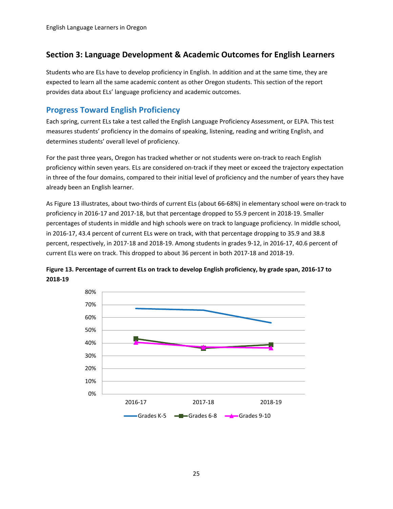### <span id="page-25-0"></span>**Section 3: Language Development & Academic Outcomes for English Learners**

Students who are ELs have to develop proficiency in English. In addition and at the same time, they are expected to learn all the same academic content as other Oregon students. This section of the report provides data about ELs' language proficiency and academic outcomes.

### <span id="page-25-1"></span>**Progress Toward English Proficiency**

Each spring, current ELs take a test called the English Language Proficiency Assessment, or ELPA. This test measures students' proficiency in the domains of speaking, listening, reading and writing English, and determines students' overall level of proficiency.

For the past three years, Oregon has tracked whether or not students were on-track to reach English proficiency within seven years. ELs are considered on-track if they meet or exceed the trajectory expectation in three of the four domains, compared to their initial level of proficiency and the number of years they have already been an English learner.

As Figure 13 illustrates, about two-thirds of current ELs (about 66-68%) in elementary school were on-track to proficiency in 2016-17 and 2017-18, but that percentage dropped to 55.9 percent in 2018-19. Smaller percentages of students in middle and high schools were on track to language proficiency. In middle school, in 2016-17, 43.4 percent of current ELs were on track, with that percentage dropping to 35.9 and 38.8 percent, respectively, in 2017-18 and 2018-19. Among students in grades 9-12, in 2016-17, 40.6 percent of current ELs were on track. This dropped to about 36 percent in both 2017-18 and 2018-19.



**Figure 13. Percentage of current ELs on track to develop English proficiency, by grade span, 2016-17 to 2018-19**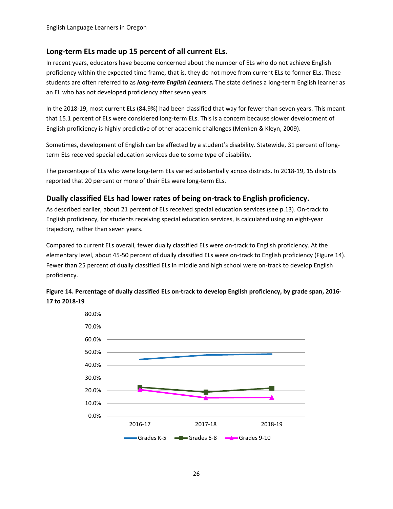### <span id="page-26-0"></span>**Long-term ELs made up 15 percent of all current ELs.**

In recent years, educators have become concerned about the number of ELs who do not achieve English proficiency within the expected time frame, that is, they do not move from current ELs to former ELs. These students are often referred to as *long-term English Learners.* The state defines a long-term English learner as an EL who has not developed proficiency after seven years.

In the 2018-19, most current ELs (84.9%) had been classified that way for fewer than seven years. This meant that 15.1 percent of ELs were considered long-term ELs. This is a concern because slower development of English proficiency is highly predictive of other academic challenges (Menken & Kleyn, 2009).

Sometimes, development of English can be affected by a student's disability. Statewide, 31 percent of longterm ELs received special education services due to some type of disability.

The percentage of ELs who were long-term ELs varied substantially across districts. In 2018-19, 15 districts reported that 20 percent or more of their ELs were long-term ELs.

### <span id="page-26-1"></span>**Dually classified ELs had lower rates of being on-track to English proficiency.**

As described earlier, about 21 percent of ELs received special education services (see p.13). On-track to English proficiency, for students receiving special education services, is calculated using an eight-year trajectory, rather than seven years.

Compared to current ELs overall, fewer dually classified ELs were on-track to English proficiency. At the elementary level, about 45-50 percent of dually classified ELs were on-track to English proficiency (Figure 14). Fewer than 25 percent of dually classified ELs in middle and high school were on-track to develop English proficiency.



**Figure 14. Percentage of dually classified ELs on-track to develop English proficiency, by grade span, 2016- 17 to 2018-19**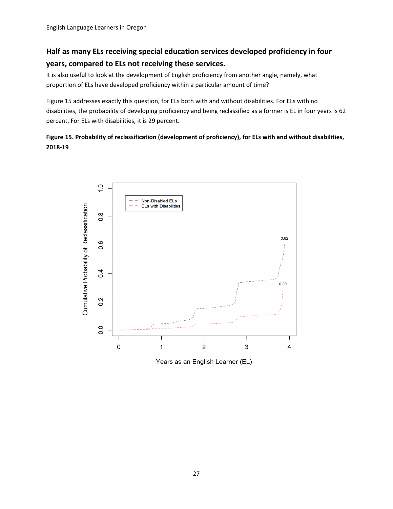# <span id="page-27-0"></span>**Half as many ELs receiving special education services developed proficiency in four years, compared to ELs not receiving these services.**

It is also useful to look at the development of English proficiency from another angle, namely, what proportion of ELs have developed proficiency within a particular amount of time?

Figure 15 addresses exactly this question, for ELs both with and without disabilities. For ELs with no disabilities, the probability of developing proficiency and being reclassified as a former is EL in four years is 62 percent. For ELs with disabilities, it is 29 percent.

### **Figure 15. Probability of reclassification (development of proficiency), for ELs with and without disabilities, 2018-19**



Years as an English Learner (EL)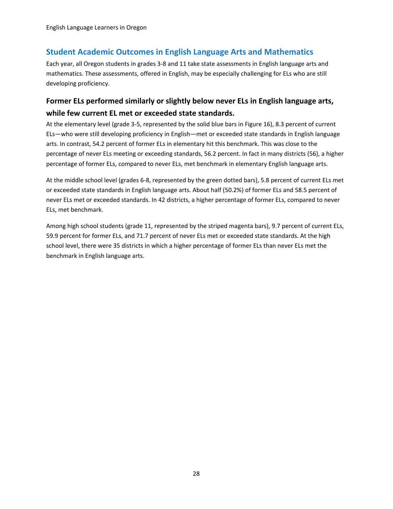### <span id="page-28-0"></span>**Student Academic Outcomes in English Language Arts and Mathematics**

Each year, all Oregon students in grades 3-8 and 11 take state assessments in English language arts and mathematics. These assessments, offered in English, may be especially challenging for ELs who are still developing proficiency.

### <span id="page-28-1"></span>**Former ELs performed similarly or slightly below never ELs in English language arts, while few current EL met or exceeded state standards.**

At the elementary level (grade 3-5, represented by the solid blue bars in Figure 16), 8.3 percent of current ELs—who were still developing proficiency in English—met or exceeded state standards in English language arts. In contrast, 54.2 percent of former ELs in elementary hit this benchmark. This was close to the percentage of never ELs meeting or exceeding standards, 56.2 percent. In fact in many districts (56), a higher percentage of former ELs, compared to never ELs, met benchmark in elementary English language arts.

At the middle school level (grades 6-8, represented by the green dotted bars), 5.8 percent of current ELs met or exceeded state standards in English language arts. About half (50.2%) of former ELs and 58.5 percent of never ELs met or exceeded standards. In 42 districts, a higher percentage of former ELs, compared to never ELs, met benchmark.

Among high school students (grade 11, represented by the striped magenta bars), 9.7 percent of current ELs, 59.9 percent for former ELs, and 71.7 percent of never ELs met or exceeded state standards. At the high school level, there were 35 districts in which a higher percentage of former ELs than never ELs met the benchmark in English language arts.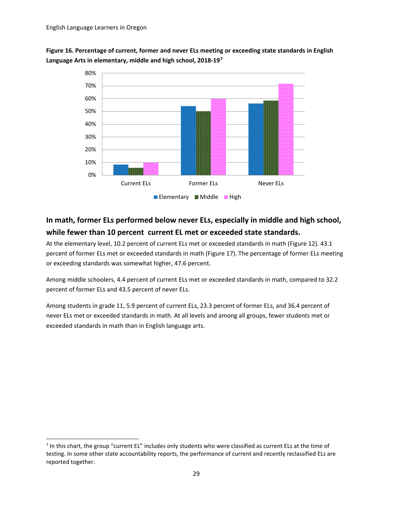**Figure 16. Percentage of current, former and never ELs meeting or exceeding state standards in English Language Arts in elementary, middle and high school, 2018-19[7](#page-29-1)**



# <span id="page-29-0"></span>**In math, former ELs performed below never ELs, especially in middle and high school, while fewer than 10 percent current EL met or exceeded state standards.**

At the elementary level, 10.2 percent of current ELs met or exceeded standards in math (Figure 12). 43.1 percent of former ELs met or exceeded standards in math (Figure 17). The percentage of former ELs meeting or exceeding standards was somewhat higher, 47.6 percent.

Among middle schoolers, 4.4 percent of current ELs met or exceeded standards in math, compared to 32.2 percent of former ELs and 43.5 percent of never ELs.

Among students in grade 11, 5.9 percent of current ELs, 23.3 percent of former ELs, and 36.4 percent of never ELs met or exceeded standards in math. At all levels and among all groups, fewer students met or exceeded standards in math than in English language arts.

<span id="page-29-1"></span> $<sup>7</sup>$  In this chart, the group "current EL" includes only students who were classified as current ELs at the time of</sup> testing. In some other state accountability reports, the performance of current and recently reclassified ELs are reported together.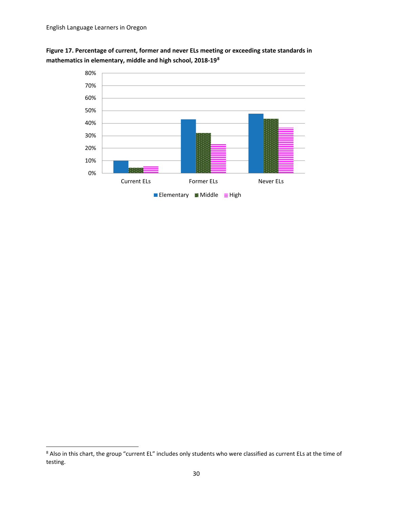



<span id="page-30-0"></span><sup>&</sup>lt;sup>8</sup> Also in this chart, the group "current EL" includes only students who were classified as current ELs at the time of testing.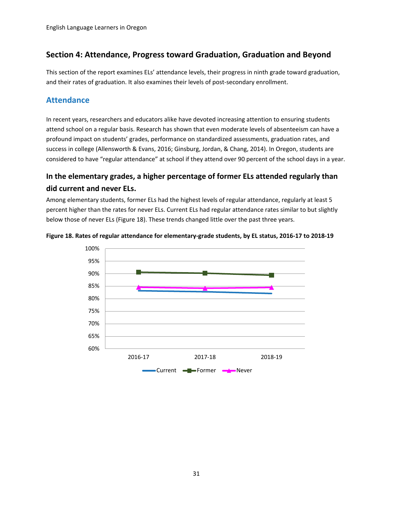### <span id="page-31-0"></span>**Section 4: Attendance, Progress toward Graduation, Graduation and Beyond**

This section of the report examines ELs' attendance levels, their progress in ninth grade toward graduation, and their rates of graduation. It also examines their levels of post-secondary enrollment.

### <span id="page-31-1"></span>**Attendance**

In recent years, researchers and educators alike have devoted increasing attention to ensuring students attend school on a regular basis. Research has shown that even moderate levels of absenteeism can have a profound impact on students' grades, performance on standardized assessments, graduation rates, and success in college (Allensworth & Evans, 2016; Ginsburg, Jordan, & Chang, 2014). In Oregon, students are considered to have "regular attendance" at school if they attend over 90 percent of the school days in a year.

### <span id="page-31-2"></span>**In the elementary grades, a higher percentage of former ELs attended regularly than did current and never ELs.**

Among elementary students, former ELs had the highest levels of regular attendance, regularly at least 5 percent higher than the rates for never ELs. Current ELs had regular attendance rates similar to but slightly below those of never ELs (Figure 18). These trends changed little over the past three years.



#### **Figure 18. Rates of regular attendance for elementary-grade students, by EL status, 2016-17 to 2018-19**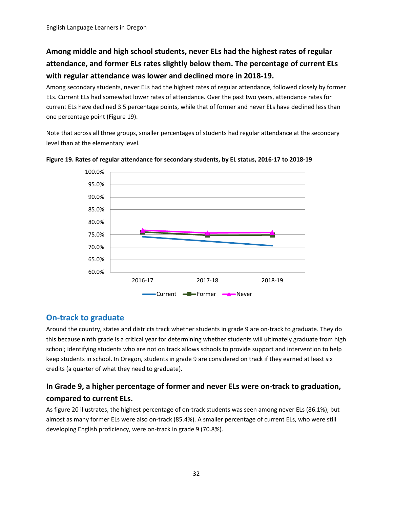# <span id="page-32-0"></span>**Among middle and high school students, never ELs had the highest rates of regular attendance, and former ELs rates slightly below them. The percentage of current ELs with regular attendance was lower and declined more in 2018-19.**

Among secondary students, never ELs had the highest rates of regular attendance, followed closely by former ELs. Current ELs had somewhat lower rates of attendance. Over the past two years, attendance rates for current ELs have declined 3.5 percentage points, while that of former and never ELs have declined less than one percentage point (Figure 19).

Note that across all three groups, smaller percentages of students had regular attendance at the secondary level than at the elementary level.



**Figure 19. Rates of regular attendance for secondary students, by EL status, 2016-17 to 2018-19**

### <span id="page-32-1"></span>**On-track to graduate**

Around the country, states and districts track whether students in grade 9 are on-track to graduate. They do this because ninth grade is a critical year for determining whether students will ultimately graduate from high school; identifying students who are not on track allows schools to provide support and intervention to help keep students in school. In Oregon, students in grade 9 are considered on track if they earned at least six credits (a quarter of what they need to graduate).

### <span id="page-32-2"></span>**In Grade 9, a higher percentage of former and never ELs were on-track to graduation, compared to current ELs.**

As figure 20 illustrates, the highest percentage of on-track students was seen among never ELs (86.1%), but almost as many former ELs were also on-track (85.4%). A smaller percentage of current ELs, who were still developing English proficiency, were on-track in grade 9 (70.8%).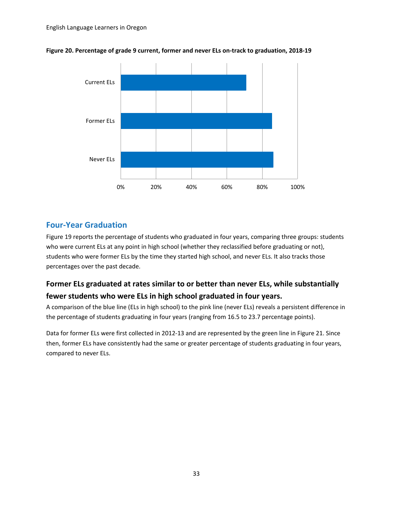

#### **Figure 20. Percentage of grade 9 current, former and never ELs on-track to graduation, 2018-19**

### <span id="page-33-0"></span>**Four-Year Graduation**

Figure 19 reports the percentage of students who graduated in four years, comparing three groups: students who were current ELs at any point in high school (whether they reclassified before graduating or not), students who were former ELs by the time they started high school, and never ELs. It also tracks those percentages over the past decade.

### <span id="page-33-1"></span>**Former ELs graduated at rates similar to or better than never ELs, while substantially fewer students who were ELs in high school graduated in four years.**

A comparison of the blue line (ELs in high school) to the pink line (never ELs) reveals a persistent difference in the percentage of students graduating in four years (ranging from 16.5 to 23.7 percentage points).

Data for former ELs were first collected in 2012-13 and are represented by the green line in Figure 21. Since then, former ELs have consistently had the same or greater percentage of students graduating in four years, compared to never ELs.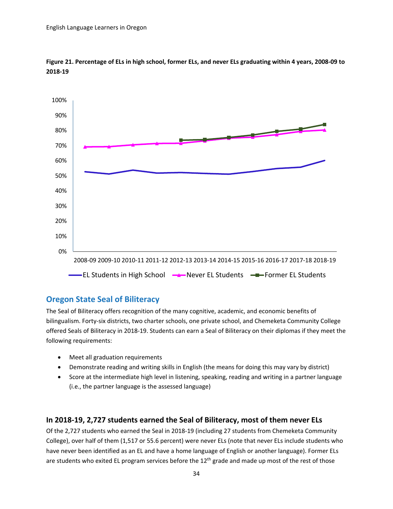

**Figure 21. Percentage of ELs in high school, former ELs, and never ELs graduating within 4 years, 2008-09 to 2018-19**

### <span id="page-34-0"></span>**Oregon State Seal of Biliteracy**

The Seal of Biliteracy offers recognition of the many cognitive, academic, and economic benefits of bilingualism. Forty-six districts, two charter schools, one private school, and Chemeketa Community College offered Seals of Biliteracy in 2018-19. Students can earn a Seal of Biliteracy on their diplomas if they meet the following requirements:

- Meet all graduation requirements
- Demonstrate reading and writing skills in English (the means for doing this may vary by district)
- Score at the intermediate high level in listening, speaking, reading and writing in a partner language (i.e., the partner language is the assessed language)

### <span id="page-34-1"></span>**In 2018-19, 2,727 students earned the Seal of Biliteracy, most of them never ELs**

Of the 2,727 students who earned the Seal in 2018-19 (including 27 students from Chemeketa Community College), over half of them (1,517 or 55.6 percent) were never ELs (note that never ELs include students who have never been identified as an EL and have a home language of English or another language). Former ELs are students who exited EL program services before the  $12<sup>th</sup>$  grade and made up most of the rest of those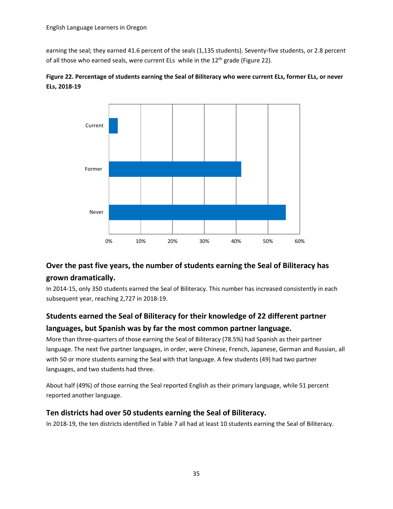earning the seal; they earned 41.6 percent of the seals (1,135 students). Seventy-five students, or 2.8 percent of all those who earned seals, were current ELs while in the  $12<sup>th</sup>$  grade (Figure 22).



<span id="page-35-0"></span>

### **Over the past five years, the number of students earning the Seal of Biliteracy has grown dramatically.**

In 2014-15, only 350 students earned the Seal of Biliteracy. This number has increased consistently in each subsequent year, reaching 2,727 in 2018-19.

## <span id="page-35-1"></span>**Students earned the Seal of Biliteracy for their knowledge of 22 different partner languages, but Spanish was by far the most common partner language.**

More than three-quarters of those earning the Seal of Biliteracy (78.5%) had Spanish as their partner language. The next five partner languages, in order, were Chinese, French, Japanese, German and Russian, all with 50 or more students earning the Seal with that language. A few students (49) had two partner languages, and two students had three.

About half (49%) of those earning the Seal reported English as their primary language, while 51 percent reported another language.

### <span id="page-35-2"></span>**Ten districts had over 50 students earning the Seal of Biliteracy.**

In 2018-19, the ten districts identified in Table 7 all had at least 10 students earning the Seal of Biliteracy.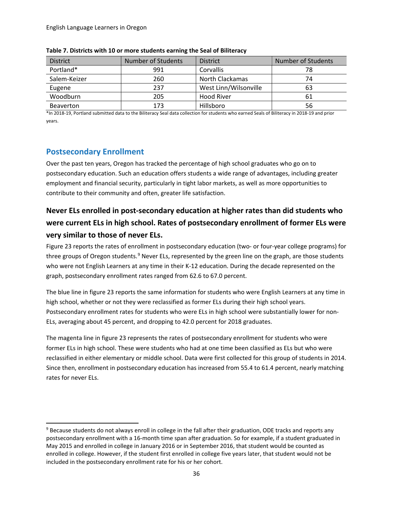| <b>District</b>  | Number of Students | <b>District</b>       | Number of Students |
|------------------|--------------------|-----------------------|--------------------|
| Portland*        | 991                | <b>Corvallis</b>      | 78                 |
| Salem-Keizer     | 260                | North Clackamas       | 74                 |
| Eugene           | 237                | West Linn/Wilsonville | 63                 |
| Woodburn         | 205                | Hood River            | 61                 |
| <b>Beaverton</b> | 173                | Hillsboro             | 56                 |

**Table 7. Districts with 10 or more students earning the Seal of Biliteracy**

\*In 2018-19, Portland submitted data to the Biliteracy Seal data collection for students who earned Seals of Biliteracy in 2018-19 and prior years.

#### <span id="page-36-0"></span>**Postsecondary Enrollment**

Over the past ten years, Oregon has tracked the percentage of high school graduates who go on to postsecondary education. Such an education offers students a wide range of advantages, including greater employment and financial security, particularly in tight labor markets, as well as more opportunities to contribute to their community and often, greater life satisfaction.

# <span id="page-36-1"></span>**Never ELs enrolled in post-secondary education at higher rates than did students who were current ELs in high school. Rates of postsecondary enrollment of former ELs were very similar to those of never ELs.**

Figure 23 reports the rates of enrollment in postsecondary education (two- or four-year college programs) for three groups of Oregon students.<sup>[9](#page-36-2)</sup> Never ELs, represented by the green line on the graph, are those students who were not English Learners at any time in their K-12 education. During the decade represented on the graph, postsecondary enrollment rates ranged from 62.6 to 67.0 percent.

The blue line in figure 23 reports the same information for students who were English Learners at any time in high school, whether or not they were reclassified as former ELs during their high school years. Postsecondary enrollment rates for students who were ELs in high school were substantially lower for non-ELs, averaging about 45 percent, and dropping to 42.0 percent for 2018 graduates.

The magenta line in figure 23 represents the rates of postsecondary enrollment for students who were former ELs in high school. These were students who had at one time been classified as ELs but who were reclassified in either elementary or middle school. Data were first collected for this group of students in 2014. Since then, enrollment in postsecondary education has increased from 55.4 to 61.4 percent, nearly matching rates for never ELs.

<span id="page-36-2"></span><sup>&</sup>lt;sup>9</sup> Because students do not always enroll in college in the fall after their graduation, ODE tracks and reports any postsecondary enrollment with a 16-month time span after graduation. So for example, if a student graduated in May 2015 and enrolled in college in January 2016 or in September 2016, that student would be counted as enrolled in college. However, if the student first enrolled in college five years later, that student would not be included in the postsecondary enrollment rate for his or her cohort.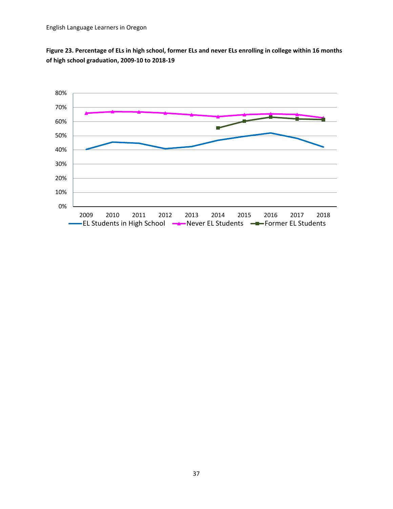

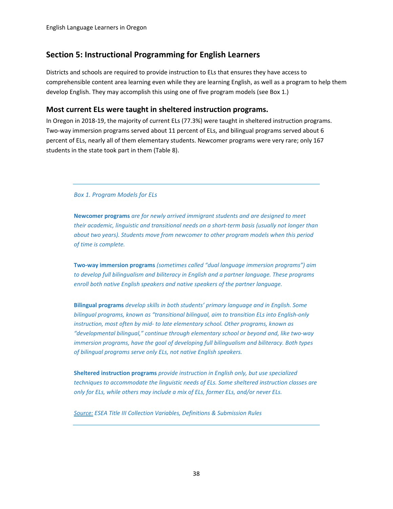### <span id="page-38-0"></span>**Section 5: Instructional Programming for English Learners**

Districts and schools are required to provide instruction to ELs that ensures they have access to comprehensible content area learning even while they are learning English, as well as a program to help them develop English. They may accomplish this using one of five program models (see Box 1.)

#### <span id="page-38-1"></span>**Most current ELs were taught in sheltered instruction programs.**

In Oregon in 2018-19, the majority of current ELs (77.3%) were taught in sheltered instruction programs. Two-way immersion programs served about 11 percent of ELs, and bilingual programs served about 6 percent of ELs, nearly all of them elementary students. Newcomer programs were very rare; only 167 students in the state took part in them (Table 8).

*Box 1. Program Models for ELs* 

**Newcomer programs** *are for newly arrived immigrant students and are designed to meet their academic, linguistic and transitional needs on a short-term basis (usually not longer than about two years). Students move from newcomer to other program models when this period of time is complete.*

**Two-way immersion programs** *(sometimes called "dual language immersion programs") aim to develop full bilingualism and biliteracy in English and a partner language. These programs enroll both native English speakers and native speakers of the partner language.* 

**Bilingual programs** *develop skills in both students' primary language and in English. Some bilingual programs, known as "transitional bilingual, aim to transition ELs into English-only instruction, most often by mid- to late elementary school. Other programs, known as "developmental bilingual," continue through elementary school or beyond and, like two-way immersion programs, have the goal of developing full bilingualism and biliteracy. Both types of bilingual programs serve only ELs, not native English speakers.* 

**Sheltered instruction programs** *provide instruction in English only, but use specialized techniques to accommodate the linguistic needs of ELs. Some sheltered instruction classes are only for ELs, while others may include a mix of ELs, former ELs, and/or never ELs.*

*[Source:](https://www.oregon.gov/ode/schools-and-districts/grants/ESEA/EL/Documents/esea_title_iii_el_definitions.pdf) ESEA Title III Collection Variables, Definitions & Submission Rules*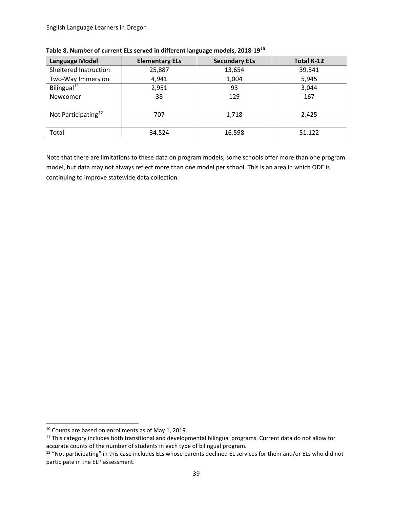| <b>Language Model</b>           | <b>Elementary ELs</b> | <b>Secondary ELs</b> | <b>Total K-12</b> |
|---------------------------------|-----------------------|----------------------|-------------------|
| Sheltered Instruction           | 25,887                | 13,654               | 39,541            |
| Two-Way Immersion               | 4,941                 | 1,004                | 5,945             |
| Bilingual <sup>11</sup>         | 2,951                 | 93                   | 3,044             |
| Newcomer                        | 38                    | 129                  | 167               |
|                                 |                       |                      |                   |
| Not Participating <sup>12</sup> | 707                   | 1,718                | 2,425             |
|                                 |                       |                      |                   |
| Total                           | 34,524                | 16,598               | 51,122            |

**Table 8. Number of current ELs served in different language models, 2018-19[10](#page-39-0)**

Note that there are limitations to these data on program models; some schools offer more than one program model, but data may not always reflect more than one model per school. This is an area in which ODE is continuing to improve statewide data collection.

 $\overline{a}$ 

<span id="page-39-0"></span><sup>&</sup>lt;sup>10</sup> Counts are based on enrollments as of May 1, 2019.

<span id="page-39-1"></span><sup>&</sup>lt;sup>11</sup> This category includes both transitional and developmental bilingual programs. Current data do not allow for accurate counts of the number of students in each type of bilingual program.

<span id="page-39-2"></span><sup>&</sup>lt;sup>12</sup> "Not participating" in this case includes ELs whose parents declined EL services for them and/or ELs who did not participate in the ELP assessment.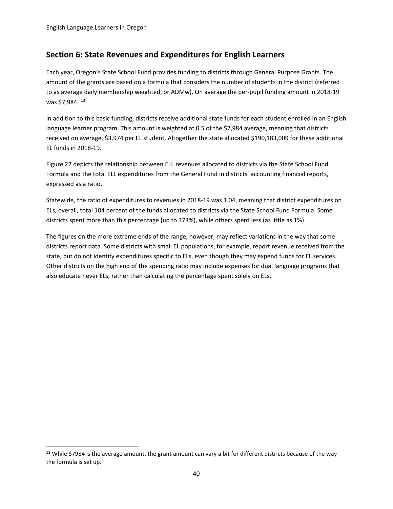### <span id="page-40-0"></span>**Section 6: State Revenues and Expenditures for English Learners**

Each year, Oregon's State School Fund provides funding to districts through General Purpose Grants. The amount of the grants are based on a formula that considers the number of students in the district (referred to as average daily membership weighted, or ADMw). On average the per-pupil funding amount in 2018-19 was \$7,984. [13](#page-40-1)

In addition to this basic funding, districts receive additional state funds for each student enrolled in an English language learner program. This amount is weighted at 0.5 of the \$7,984 average, meaning that districts received on average, \$3,974 per EL student. Altogether the state allocated \$190,183,009 for these additional EL funds in 2018-19.

Figure 22 depicts the relationship between ELL revenues allocated to districts via the State School Fund Formula and the total ELL expenditures from the General Fund in districts' accounting financial reports, expressed as a ratio.

Statewide, the ratio of expenditures to revenues in 2018-19 was 1.04, meaning that district expenditures on ELs, overall, total 104 percent of the funds allocated to districts via the State School Fund Formula. Some districts spent more than this percentage (up to 373%), while others spent less (as little as 1%).

The figures on the more extreme ends of the range, however, may reflect variations in the way that some districts report data. Some districts with small EL populations, for example, report revenue received from the state, but do not identify expenditures specific to ELs, even though they may expend funds for EL services. Other districts on the high end of the spending ratio may include expenses for dual language programs that also educate never ELs, rather than calculating the percentage spent solely on ELs.

<span id="page-40-1"></span><sup>&</sup>lt;sup>13</sup> While \$7984 is the average amount, the grant amount can vary a bit for different districts because of the way the formula is set up.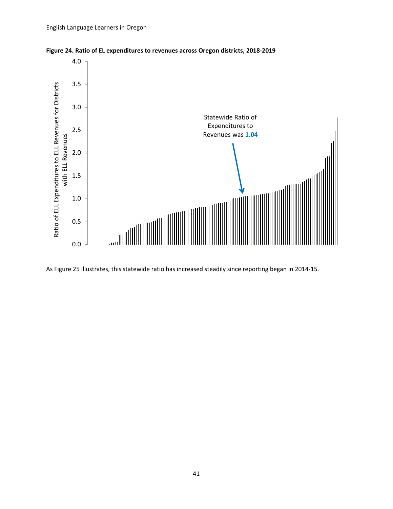



As Figure 25 illustrates, this statewide ratio has increased steadily since reporting began in 2014-15.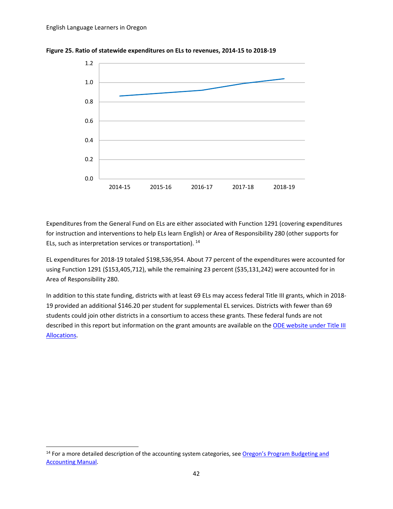$\overline{a}$ 





Expenditures from the General Fund on ELs are either associated with Function 1291 (covering expenditures for instruction and interventions to help ELs learn English) or Area of Responsibility 280 (other supports for ELs, such as interpretation services or transportation). [14](#page-42-0) 

EL expenditures for 2018-19 totaled \$198,536,954. About 77 percent of the expenditures were accounted for using Function 1291 (\$153,405,712), while the remaining 23 percent (\$35,131,242) were accounted for in Area of Responsibility 280.

In addition to this state funding, districts with at least 69 ELs may access federal Title III grants, which in 2018- 19 provided an additional \$146.20 per student for supplemental EL services. Districts with fewer than 69 students could join other districts in a consortium to access these grants. These federal funds are not described in this report but information on the grant amounts are available on the ODE website under Title III [Allocations.](https://www.oregon.gov/ode/schools-and-districts/grants/ESEA/EL/Pages/Funding-Grant-Information.aspx)

<span id="page-42-0"></span><sup>&</sup>lt;sup>14</sup> For a more detailed description of the accounting system categories, see Oregon's Program Budgeting and [Accounting Manual.](http://www.oregon.gov/ode/schools-and-districts/grants/Pages/Financial-Budgeting-and-Accounting.aspx)